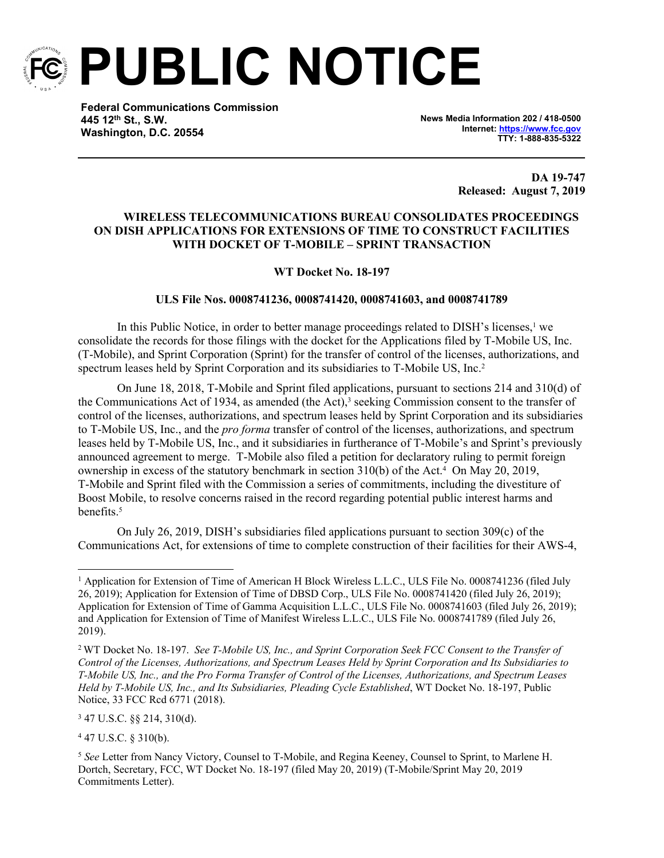

**PUBLIC NOTICE**

**Federal Communications Commission 445 12th St., S.W. Washington, D.C. 20554**

**News Media Information 202 / 418-0500 Internet:<https://www.fcc.gov> TTY: 1-888-835-5322**

> **DA 19-747 Released: August 7, 2019**

## **WIRELESS TELECOMMUNICATIONS BUREAU CONSOLIDATES PROCEEDINGS ON DISH APPLICATIONS FOR EXTENSIONS OF TIME TO CONSTRUCT FACILITIES WITH DOCKET OF T-MOBILE – SPRINT TRANSACTION**

## **WT Docket No. 18-197**

## **ULS File Nos. 0008741236, 0008741420, 0008741603, and 0008741789**

In this Public Notice, in order to better manage proceedings related to DISH's licenses,<sup>1</sup> we consolidate the records for those filings with the docket for the Applications filed by T-Mobile US, Inc. (T-Mobile), and Sprint Corporation (Sprint) for the transfer of control of the licenses, authorizations, and spectrum leases held by Sprint Corporation and its subsidiaries to T-Mobile US, Inc.<sup>2</sup>

On June 18, 2018, T-Mobile and Sprint filed applications, pursuant to sections 214 and 310(d) of the Communications Act of 1934, as amended (the Act),<sup>3</sup> seeking Commission consent to the transfer of control of the licenses, authorizations, and spectrum leases held by Sprint Corporation and its subsidiaries to T-Mobile US, Inc., and the *pro forma* transfer of control of the licenses, authorizations, and spectrum leases held by T-Mobile US, Inc., and it subsidiaries in furtherance of T-Mobile's and Sprint's previously announced agreement to merge. T-Mobile also filed a petition for declaratory ruling to permit foreign ownership in excess of the statutory benchmark in section 310(b) of the Act.<sup>4</sup> On May 20, 2019, T-Mobile and Sprint filed with the Commission a series of commitments, including the divestiture of Boost Mobile, to resolve concerns raised in the record regarding potential public interest harms and benefits.<sup>5</sup>

On July 26, 2019, DISH's subsidiaries filed applications pursuant to section 309(c) of the Communications Act, for extensions of time to complete construction of their facilities for their AWS-4,

3 47 U.S.C. §§ 214, 310(d).

4 47 U.S.C. § 310(b).

<sup>&</sup>lt;sup>1</sup> Application for Extension of Time of American H Block Wireless L.L.C., ULS File No. 0008741236 (filed July 26, 2019); Application for Extension of Time of DBSD Corp., ULS File No. 0008741420 (filed July 26, 2019); Application for Extension of Time of Gamma Acquisition L.L.C., ULS File No. 0008741603 (filed July 26, 2019); and Application for Extension of Time of Manifest Wireless L.L.C., ULS File No. 0008741789 (filed July 26, 2019).

<sup>2</sup> WT Docket No. 18-197. *See T-Mobile US, Inc., and Sprint Corporation Seek FCC Consent to the Transfer of Control of the Licenses, Authorizations, and Spectrum Leases Held by Sprint Corporation and Its Subsidiaries to T-Mobile US, Inc., and the Pro Forma Transfer of Control of the Licenses, Authorizations, and Spectrum Leases Held by T-Mobile US, Inc., and Its Subsidiaries, Pleading Cycle Established*, WT Docket No. 18-197, Public Notice, 33 FCC Rcd 6771 (2018).

<sup>5</sup> *See* Letter from Nancy Victory, Counsel to T-Mobile, and Regina Keeney, Counsel to Sprint, to Marlene H. Dortch, Secretary, FCC, WT Docket No. 18-197 (filed May 20, 2019) (T-Mobile/Sprint May 20, 2019 Commitments Letter).